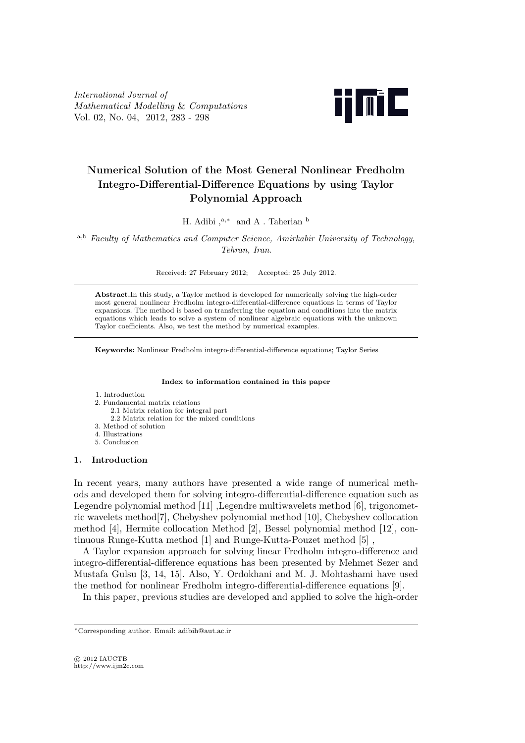*International Journal of Mathematical Modelling* & *Computations* Vol. 02, No. 04, 2012, 283 - 298



# **Numerical Solution of the Most General Nonlinear Fredholm Integro-Differential-Difference Equations by using Taylor Polynomial Approach**

H. Adibi , $a,*$  and A . Taherian  $b$ 

<sup>a</sup>*,*<sup>b</sup> *Faculty of Mathematics and Computer Science, Amirkabir University of Technology, Tehran, Iran*.

Received: 27 February 2012; Accepted: 25 July 2012.

**Abstract.**In this study, a Taylor method is developed for numerically solving the high-order most general nonlinear Fredholm integro-differential-difference equations in terms of Taylor expansions. The method is based on transferring the equation and conditions into the matrix equations which leads to solve a system of nonlinear algebraic equations with the unknown Taylor coefficients. Also, we test the method by numerical examples.

**Keywords:** Nonlinear Fredholm integro-differential-difference equations; Taylor Series

#### **Index to information contained in this paper**

- 1. Introduction
- 2. Fundamental matrix relations
	- 2.1 Matrix relation for integral part
		- 2.2 Matrix relation for the mixed conditions
- 3. Method of solution
- 4. Illustrations
- 5. Conclusion

#### **1. Introduction**

In recent years, many authors have presented a wide range of numerical methods and developed them for solving integro-differential-difference equation such as Legendre polynomial method [11] ,Legendre multiwavelets method [6], trigonometric wavelets method[7], Chebyshev polynomial method [10], Chebyshev collocation method [4], Hermite collocation Method [2], Bessel polynomial method [12], continuous Runge-Kutta method [1] and Runge-Kutta-Pouzet method [5] ,

A Taylor expansion approach for solving linear Fredholm integro-difference and integro-differential-difference equations has been presented by Mehmet Sezer and Mustafa Gulsu [3, 14, 15]. Also, Y. Ordokhani and M. J. Mohtashami have used the method for nonlinear Fredholm integro-differential-difference equations [9].

In this paper, previous studies are developed and applied to solve the high-order

*<sup>∗</sup>*Corresponding author. Email: adibih@aut.ac.ir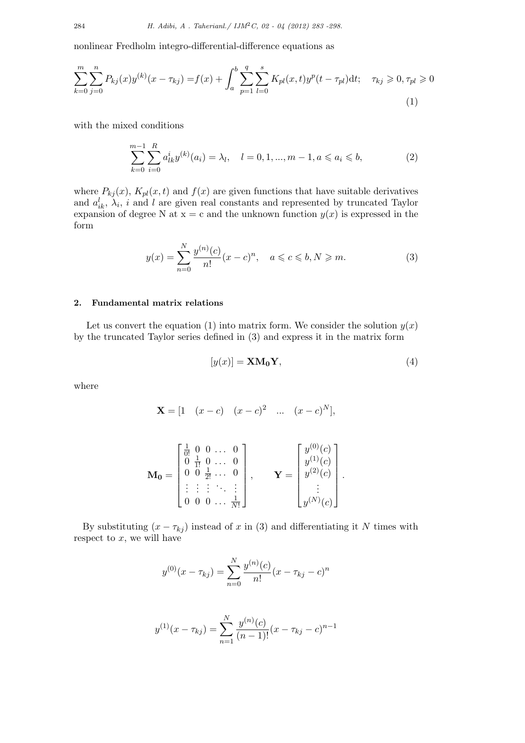nonlinear Fredholm integro-differential-difference equations as

$$
\sum_{k=0}^{m} \sum_{j=0}^{n} P_{kj}(x) y^{(k)}(x - \tau_{kj}) = f(x) + \int_{a}^{b} \sum_{p=1}^{q} \sum_{l=0}^{s} K_{pl}(x, t) y^{p}(t - \tau_{pl}) dt; \quad \tau_{kj} \ge 0, \tau_{pl} \ge 0
$$
\n(1)

with the mixed conditions

$$
\sum_{k=0}^{m-1} \sum_{i=0}^{R} a_{lk}^{i} y^{(k)}(a_i) = \lambda_l, \quad l = 0, 1, ..., m-1, a \leq a_i \leq b,
$$
\n(2)

where  $P_{kj}(x)$ ,  $K_{pl}(x, t)$  and  $f(x)$  are given functions that have suitable derivatives and  $a_{ik}^l$ ,  $\lambda_i$ , *i* and *l* are given real constants and represented by truncated Taylor expansion of degree N at  $x = c$  and the unknown function  $y(x)$  is expressed in the form

$$
y(x) = \sum_{n=0}^{N} \frac{y^{(n)}(c)}{n!} (x - c)^n, \quad a \leq c \leq b, N \geq m.
$$
 (3)

## **2. Fundamental matrix relations**

Let us convert the equation (1) into matrix form. We consider the solution  $y(x)$ by the truncated Taylor series defined in (3) and express it in the matrix form

$$
[y(x)] = \mathbf{X} \mathbf{M_0} \mathbf{Y},\tag{4}
$$

*.*

where

$$
\mathbf{X} = [1 \quad (x - c) \quad (x - c)^2 \quad \dots \quad (x - c)^N],
$$

$$
\mathbf{M_0} = \begin{bmatrix} \frac{1}{0!} & 0 & 0 & \dots & 0 \\ 0 & \frac{1}{1!} & 0 & \dots & 0 \\ 0 & 0 & \frac{1}{2!} & \dots & 0 \\ \vdots & \vdots & \vdots & \ddots & \vdots \\ 0 & 0 & 0 & \dots & \frac{1}{N!} \end{bmatrix}, \qquad \mathbf{Y} = \begin{bmatrix} y^{(0)}(c) \\ y^{(1)}(c) \\ y^{(2)}(c) \\ \vdots \\ y^{(N)}(c) \end{bmatrix}
$$

By substituting  $(x - \tau_{kj})$  instead of *x* in (3) and differentiating it *N* times with respect to *x*, we will have

$$
y^{(0)}(x - \tau_{kj}) = \sum_{n=0}^{N} \frac{y^{(n)}(c)}{n!} (x - \tau_{kj} - c)^n
$$

$$
y^{(1)}(x - \tau_{kj}) = \sum_{n=1}^{N} \frac{y^{(n)}(c)}{(n-1)!} (x - \tau_{kj} - c)^{n-1}
$$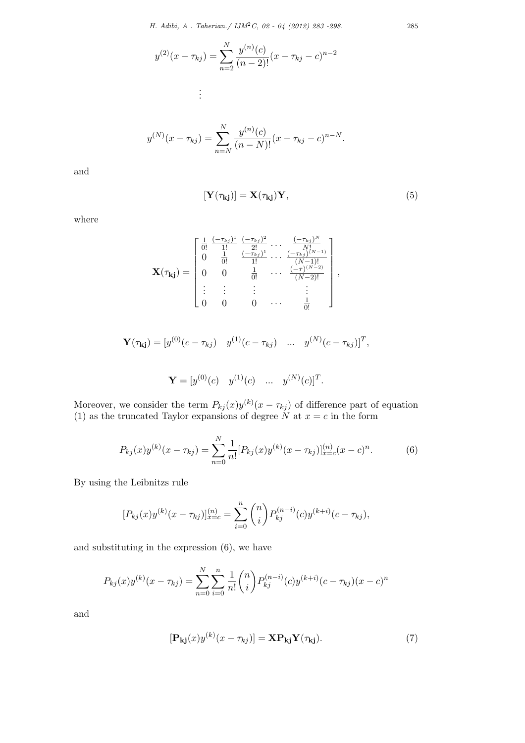*H. Adibi, A . Taherian./ IJM*2*C, 02 - 04 (2012) 283 -298.* 285

$$
y^{(2)}(x - \tau_{kj}) = \sum_{n=2}^{N} \frac{y^{(n)}(c)}{(n-2)!} (x - \tau_{kj} - c)^{n-2}
$$
  

$$
\vdots
$$
  

$$
y^{(N)}(x - \tau_{kj}) = \sum_{n=N}^{N} \frac{y^{(n)}(c)}{(n-N)!} (x - \tau_{kj} - c)^{n-N}.
$$

and

$$
[\mathbf{Y}(\tau_{kj})] = \mathbf{X}(\tau_{kj})\mathbf{Y},\tag{5}
$$

where

$$
\mathbf{X}(\tau_{kj}) = \begin{bmatrix} \frac{1}{0!} & \frac{(-\tau_{kj})^1}{1!} & \frac{(-\tau_{kj})^2}{2!} & \cdots & \frac{(-\tau_{kj})^N}{N!} \\ 0 & \frac{1}{0!} & \frac{(-\tau_{kj})^1}{1!} & \cdots & \frac{(-\tau_{kj})^{(N-1)}}{(N-1)!} \\ 0 & 0 & \frac{1}{0!} & \cdots & \frac{(-\tau)^{(N-2)}}{(N-2)!} \\ \vdots & \vdots & \vdots & \vdots & \vdots \\ 0 & 0 & 0 & \cdots & \frac{1}{0!} \end{bmatrix},
$$

$$
\mathbf{Y}(\tau_{kj}) = [y^{(0)}(c - \tau_{kj}) \quad y^{(1)}(c - \tau_{kj}) \quad \dots \quad y^{(N)}(c - \tau_{kj})]^T,
$$

$$
\mathbf{Y} = [y^{(0)}(c) \quad y^{(1)}(c) \quad \dots \quad y^{(N)}(c)]^T.
$$

Moreover, we consider the term  $P_{kj}(x)y^{(k)}(x - \tau_{kj})$  of difference part of equation (1) as the truncated Taylor expansions of degree *N* at  $x = c$  in the form

$$
P_{kj}(x)y^{(k)}(x-\tau_{kj}) = \sum_{n=0}^{N} \frac{1}{n!} [P_{kj}(x)y^{(k)}(x-\tau_{kj})]_{x=c}^{(n)}(x-c)^{n}.
$$
 (6)

By using the Leibnitzs rule

$$
[P_{kj}(x)y^{(k)}(x-\tau_{kj})]_{x=c}^{(n)} = \sum_{i=0}^{n} {n \choose i} P_{kj}^{(n-i)}(c)y^{(k+i)}(c-\tau_{kj}),
$$

and substituting in the expression (6), we have

$$
P_{kj}(x)y^{(k)}(x - \tau_{kj}) = \sum_{n=0}^{N} \sum_{i=0}^{n} \frac{1}{n!} {n \choose i} P_{kj}^{(n-i)}(c)y^{(k+i)}(c - \tau_{kj})(x - c)^n
$$

and

$$
[\mathbf{P}_{\mathbf{k}\mathbf{j}}(x)y^{(k)}(x-\tau_{kj})] = \mathbf{X}\mathbf{P}_{\mathbf{k}\mathbf{j}}\mathbf{Y}(\tau_{\mathbf{k}\mathbf{j}}).
$$
 (7)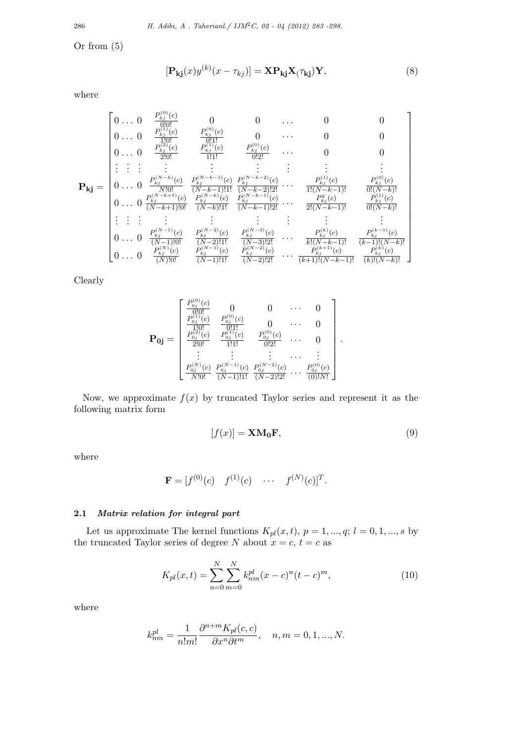Or from (5)

$$
[\mathbf{P}_{\mathbf{kj}}(x)y^{(k)}(x - \tau_{kj})] = \mathbf{X} \mathbf{P}_{\mathbf{kj}} \mathbf{X}(\tau_{\mathbf{kj}}) \mathbf{Y},\tag{8}
$$

where

$$
\mathbf{P_{kj}} = \begin{bmatrix}\n0 & \dots & 0 & \frac{P_{(1)}^{(0)}(c)}{0!0!} & 0 & 0 & \dots & 0 & 0 \\
0 & \dots & 0 & \frac{P_{kj}^{(1)}(c)}{1!0!} & \frac{P_{kj}^{(0)}(c)}{0!1!} & 0 & \dots & 0 & 0 \\
0 & \dots & 0 & \frac{P_{kj}^{(2)}(c)}{2!0!} & \frac{P_{kj}^{(1)}(c)}{1!1!} & \frac{P_{kj}^{(0)}(c)}{0!2!} & \dots & 0 & 0 \\
\vdots & \vdots & \vdots & \vdots & \vdots & \vdots & \vdots & \vdots \\
0 & \dots & 0 & \frac{P_{(N-k)}^{(N-k)}(c)}{N!0!} & \frac{P_{N-k}^{(N-k-1)}(c)}{(N-k-1)!1!} & \frac{P_{kj}^{(N-k-2)}(c)}{(N-k-2)!2!} & \dots & \frac{P_{kj}^{(1)}(c)}{1!(N-k-1)!} & \frac{P_{kj}^{(0)}(c)}{0!(N-k)!} \\
0 & \dots & 0 & \frac{P_{kj}^{(N-k+1)}(c)}{(N-k+1)!0!} & \frac{P_{kj}^{(N-k)}(c)}{(N-k)!1!} & \frac{P_{kj}^{(N-k-1)}(c)}{(N-k-1)!2!} & \dots & \frac{P_{kj}^{(1)}(c)}{2!(N-k-1)!} & \frac{P_{kj}^{(1)}(c)}{0!(N-k)!} \\
\vdots & \vdots & \vdots & \vdots & \vdots & \vdots & \vdots & \vdots \\
0 & \dots & 0 & \frac{P_{kj}^{(N-1)}(c)}{(N-1)!0!} & \frac{P_{kj}^{(N-2)}(c)}{(N-2)!1!} & \frac{P_{kj}^{(N-3)}(c)}{(N-3)!2!} & \dots & \frac{P_{kj}^{(k)}(c)}{k!(N-k-1)!} & \frac{P_{kj}^{(k-1)}(c)}{(k-1)!(N-k)!} \\
0 & \dots & 0 & \frac{P_{kj}^{(N)}(c)}{(N)!0!} & \frac{P_{kj}^{(N-1)}(c)}{(N-1)!1!} & \frac{P_{kj}^{(N-2)}(c)}{(N-2)!2!} & \dots & \frac{P
$$

Clearly

$$
\mathbf{P_{0j}} = \begin{bmatrix} \frac{P_{0j}^{(0)}(c)}{0!0!} & 0 & 0 & \cdots & 0 \\ \frac{P_{0j}^{(1)}(c)}{0!0!} & \frac{P_{0j}^{(0)}(c)}{0!1!} & 0 & \cdots & 0 \\ \frac{P_{0j}^{(2)}(c)}{1!0!} & \frac{P_{0j}^{(1)}(c)}{1!1!} & \frac{P_{0j}^{(0)}(c)}{0!2!} & \cdots & 0 \\ \vdots & \vdots & \vdots & \cdots & \vdots \\ \frac{P_{0j}^{(N)}(c)}{N!0!} & \frac{P_{0j}^{(N-1)}(c)}{N-1!1!} & \frac{P_{0j}^{(N-2)}(c)}{N-2!2!} & \cdots & \frac{P_{0j}^{(0)}(c)}{(0)!N!} \end{bmatrix}.
$$

Now, we approximate  $f(x)$  by truncated Taylor series and represent it as the following matrix form

$$
[f(x)] = \mathbf{XM_0F},\tag{9}
$$

where

$$
\mathbf{F} = [f^{(0)}(c) \quad f^{(1)}(c) \quad \cdots \quad f^{(N)}(c)]^T.
$$

# **2.1** *Matrix relation for integral part*

Let us approximate The kernel functions  $K_{pl}(x, t)$ ,  $p = 1, ..., q$ ;  $l = 0, 1, ..., s$  by the truncated Taylor series of degree *N* about  $x = c$ ,  $t = c$  as

$$
K_{pl}(x,t) = \sum_{n=0}^{N} \sum_{m=0}^{N} k_{nm}^{pl}(x-c)^{n}(t-c)^{m},
$$
\n(10)

where

$$
k_{nm}^{pl} = \frac{1}{n!m!} \frac{\partial^{n+m} K_{pl}(c,c)}{\partial x^n \partial t^m}, \quad n, m = 0, 1, ..., N.
$$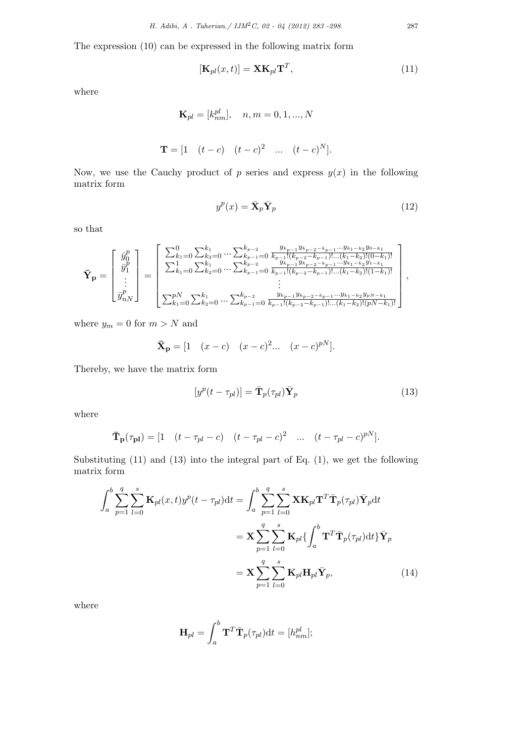The expression (10) can be expressed in the following matrix form

$$
[\mathbf{K}_{pl}(x,t)] = \mathbf{X}\mathbf{K}_{pl}\mathbf{T}^T,\tag{11}
$$

where

$$
\mathbf{K}_{pl} = [k_{nm}^{pl}], \quad n, m = 0, 1, ..., N
$$
  

$$
\mathbf{T} = [1 \quad (t - c) \quad (t - c)^2 \quad ... \quad (t - c)^N].
$$

Now, we use the Cauchy product of  $p$  series and express  $y(x)$  in the following matrix form

$$
y^p(x) = \bar{\mathbf{X}}_p \bar{\mathbf{Y}}_p \tag{12}
$$

so that

$$
\bar{\mathbf{Y}}_{\mathbf{p}} = \begin{bmatrix} \bar{y}_{0}^{p} \\ \bar{y}_{1}^{p} \\ \vdots \\ \bar{y}_{nN}^{p} \end{bmatrix} = \begin{bmatrix} \sum_{k_{1}=0}^{0} \sum_{k_{2}=0}^{k_{1}} \cdots \sum_{k_{p-1}=0}^{k_{p-2}} \frac{y_{k_{p-1}} y_{k_{p-2} - k_{p-1} \cdots y_{k_{1} - k_{2}} y_{0 - k_{1}}}{k_{p-1}! (k_{p-2} - k_{p-1})! \cdots (k_{1} - k_{2})! (0 - k_{1})!} \\ \sum_{k_{1}=0}^{1} \sum_{k_{1}=0}^{k_{1}} \sum_{k_{2}=0}^{k_{1}} \cdots \sum_{k_{p-1}=0}^{k_{p-2}} \frac{y_{k_{p-1}} y_{k_{p-2} - k_{p-1} \cdots y_{k_{1} - k_{2}} y_{1 - k_{1}}}{k_{p-1}! (k_{p-2} - k_{p-1})! \cdots (k_{1} - k_{2})! (1 - k_{1})!} \\ \vdots \\ \sum_{k_{1}=0}^{pN} \sum_{k_{2}=0}^{k_{1}} \cdots \sum_{k_{p-1}=0}^{k_{p-2}} \frac{y_{k_{p-1}} y_{k_{p-2} - k_{p-1} \cdots y_{k_{1} - k_{2}} y_{p N - k_{1}}}{k_{p-1}! (k_{p-2} - k_{p-1})! \cdots (k_{1} - k_{2})! (p N - k_{1})!} \end{bmatrix},
$$

where  $y_m = 0$  for  $m > N$  and

$$
\bar{X}_{p} = [1 (x - c) (x - c)^{2} ... (x - c)^{pN}].
$$

Thereby, we have the matrix form

$$
[y^p(t - \tau_{pl})] = \bar{\mathbf{T}}_p(\tau_{pl}) \bar{\mathbf{Y}}_p
$$
\n(13)

where

$$
\bar{\mathbf{T}}_{\mathbf{p}}(\tau_{\mathbf{p}l}) = [1 \quad (t - \tau_{pl} - c) \quad (t - \tau_{pl} - c)^2 \quad \dots \quad (t - \tau_{pl} - c)^{pN}].
$$

Substituting (11) and (13) into the integral part of Eq. (1), we get the following matrix form

$$
\int_{a}^{b} \sum_{p=1}^{q} \sum_{l=0}^{s} \mathbf{K}_{pl}(x, t) y^{p} (t - \tau_{pl}) dt = \int_{a}^{b} \sum_{p=1}^{q} \sum_{l=0}^{s} \mathbf{X} \mathbf{K}_{pl} \mathbf{T}^{T} \bar{\mathbf{T}}_{p}(\tau_{pl}) \bar{\mathbf{Y}}_{p} dt
$$

$$
= \mathbf{X} \sum_{p=1}^{q} \sum_{l=0}^{s} \mathbf{K}_{pl} \{ \int_{a}^{b} \mathbf{T}^{T} \bar{\mathbf{T}}_{p}(\tau_{pl}) dt \} \bar{\mathbf{Y}}_{p}
$$

$$
= \mathbf{X} \sum_{p=1}^{q} \sum_{l=0}^{s} \mathbf{K}_{pl} \mathbf{H}_{pl} \bar{\mathbf{Y}}_{p}, \qquad (14)
$$

where

$$
\mathbf{H}_{pl} = \int_{a}^{b} \mathbf{T}^{T} \bar{\mathbf{T}}_{p}(\tau_{pl}) dt = [h_{nm}^{pl}];
$$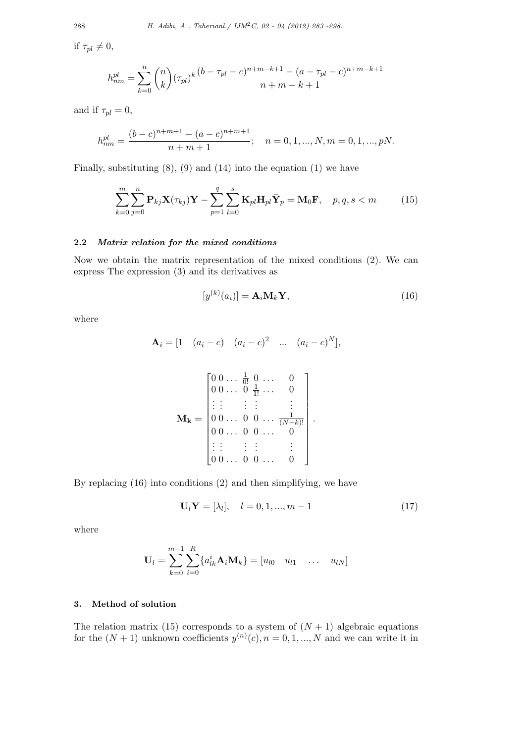if  $\tau_{pl} \neq 0$ ,

$$
h_{nm}^{pl} = \sum_{k=0}^{n} {n \choose k} (\tau_{pl})^k \frac{(b - \tau_{pl} - c)^{n+m-k+1} - (a - \tau_{pl} - c)^{n+m-k+1}}{n+m-k+1}
$$

and if  $\tau_{pl} = 0$ ,

$$
h_{nm}^{pl} = \frac{(b-c)^{n+m+1} - (a-c)^{n+m+1}}{n+m+1}; \quad n = 0, 1, ..., N, m = 0, 1, ..., pN.
$$

Finally, substituting  $(8)$ ,  $(9)$  and  $(14)$  into the equation  $(1)$  we have

$$
\sum_{k=0}^{m} \sum_{j=0}^{n} \mathbf{P}_{kj} \mathbf{X}(\tau_{kj}) \mathbf{Y} - \sum_{p=1}^{q} \sum_{l=0}^{s} \mathbf{K}_{pl} \mathbf{H}_{pl} \bar{\mathbf{Y}}_{p} = \mathbf{M}_{0} \mathbf{F}, \quad p, q, s < m \tag{15}
$$

#### **2.2** *Matrix relation for the mixed conditions*

Now we obtain the matrix representation of the mixed conditions (2). We can express The expression (3) and its derivatives as

$$
[y^{(k)}(a_i)] = \mathbf{A}_i \mathbf{M}_k \mathbf{Y},\tag{16}
$$

where

$$
\mathbf{A}_{i} = [1 \quad (a_{i} - c) \quad (a_{i} - c)^{2} \quad \dots \quad (a_{i} - c)^{N}],
$$

$$
\mathbf{M}_{\mathbf{k}} = \begin{bmatrix} 0 & 0 & \dots & \frac{1}{0!} & 0 & \dots & 0 \\ 0 & 0 & \dots & 0 & \frac{1}{1!} & \dots & 0 \\ \vdots & \vdots & \vdots & \vdots & & \vdots \\ 0 & 0 & \dots & 0 & 0 & \dots & \frac{1}{(N-k)!} \\ 0 & 0 & \dots & 0 & 0 & \dots & 0 \\ \vdots & \vdots & \vdots & \vdots & & \vdots \\ 0 & 0 & \dots & 0 & 0 & \dots & 0 \end{bmatrix}.
$$

By replacing (16) into conditions (2) and then simplifying, we have

$$
\mathbf{U}_l \mathbf{Y} = [\lambda_l], \quad l = 0, 1, ..., m - 1 \tag{17}
$$

where

$$
\mathbf{U}_{l} = \sum_{k=0}^{m-1} \sum_{i=0}^{R} \{a_{lk}^{i} \mathbf{A}_{i} \mathbf{M}_{k}\} = [u_{l0} \quad u_{l1} \quad \dots \quad u_{lN}]
$$

### **3. Method of solution**

The relation matrix (15) corresponds to a system of  $(N + 1)$  algebraic equations for the  $(N + 1)$  unknown coefficients  $y^{(n)}(c)$ ,  $n = 0, 1, ..., N$  and we can write it in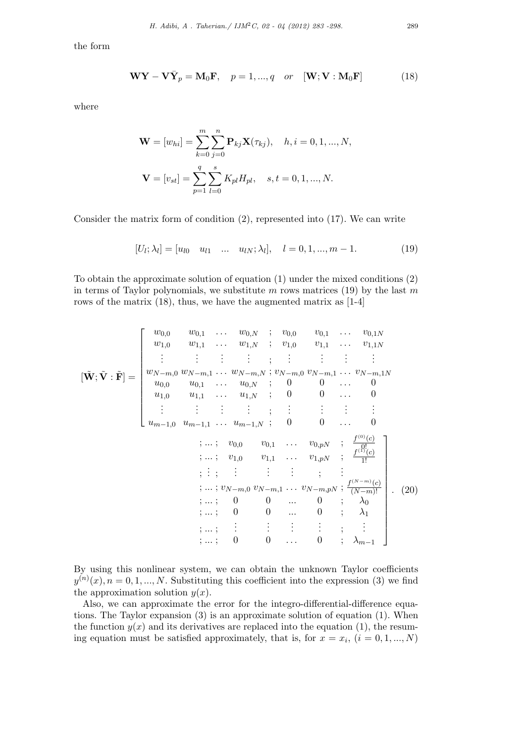the form

$$
\mathbf{W}\mathbf{Y} - \mathbf{V}\bar{\mathbf{Y}}_p = \mathbf{M}_0 \mathbf{F}, \quad p = 1, ..., q \quad or \quad [\mathbf{W}; \mathbf{V}: \mathbf{M}_0 \mathbf{F}] \tag{18}
$$

where

$$
\mathbf{W} = [w_{hi}] = \sum_{k=0}^{m} \sum_{j=0}^{n} \mathbf{P}_{kj} \mathbf{X}(\tau_{kj}), \quad h, i = 0, 1, ..., N,
$$

$$
\mathbf{V} = [v_{st}] = \sum_{p=1}^{q} \sum_{l=0}^{s} K_{pl} H_{pl}, \quad s, t = 0, 1, ..., N.
$$

Consider the matrix form of condition (2), represented into (17). We can write

$$
[U_l; \lambda_l] = [u_{l0} \quad u_{l1} \quad \dots \quad u_{lN}; \lambda_l], \quad l = 0, 1, \dots, m - 1. \tag{19}
$$

To obtain the approximate solution of equation (1) under the mixed conditions (2) in terms of Taylor polynomials, we substitute *m* rows matrices (19) by the last *m* rows of the matrix (18), thus, we have the augmented matrix as [1-4]

$$
[\tilde{\mathbf{W}}; \tilde{\mathbf{V}} : \tilde{\mathbf{F}}] = \begin{bmatrix} w_{0,0} & w_{0,1} & \cdots & w_{0,N} & ; & v_{0,0} & v_{0,1} & \cdots & v_{0,1N} \\ w_{1,0} & w_{1,1} & \cdots & w_{1,N} & ; & v_{1,0} & v_{1,1} & \cdots & v_{1,1N} \\ \vdots & \vdots & \vdots & \vdots & \vdots & \vdots & \vdots & \vdots & \vdots \\ w_{N-m,0} & w_{N-m,1} & \cdots & w_{N-m, N} & ; & v_{N-m,0} & v_{N-m,1} & \cdots & v_{N-m,1N} \\ u_{0,0} & u_{0,1} & \cdots & u_{0,N} & ; & 0 & 0 & \cdots & 0 \\ u_{1,0} & u_{1,1} & \cdots & u_{1,N} & ; & 0 & 0 & \cdots & 0 \\ \vdots & \vdots & \vdots & \vdots & \vdots & \vdots & \vdots & \vdots & \vdots \\ u_{m-1,0} & u_{m-1,1} & \cdots & u_{m-1,N} & ; & 0 & 0 & \cdots & 0 \\ \vdots & \vdots & \vdots & \vdots & \vdots & \vdots & \vdots & \vdots \\ v_{0,0} & v_{0,1} & \cdots & v_{0,pN} & ; & \frac{f^{(0)}(c)}{f^{(1)}(c)} \\ \vdots & \vdots & \vdots & \vdots & \vdots & \vdots & \vdots \\ v_{1,0} & v_{1,1} & \cdots & v_{1,pN} & ; & \frac{f^{(N-m)}(c)}{f^{(N-m)}} \\ \vdots & \vdots & \vdots & \vdots & \vdots & \vdots & \vdots \\ v_{1,0} & v_{1,1} & \cdots & v_{N-m,pN} & ; & \frac{f^{(N-m)}(c)}{f^{(N-m)}} \\ v_{1,1} & \cdots & v_{N-m,0} & v_{N-m,1} & \cdots & v_{N-m,pN} \\ \vdots & \vdots & \vdots & \vdots & \vdots & \vdots & \vdots \\ v_{1,1} & \cdots & v_{1,2} & \cdots & v_{N-m,pN} & ; & \frac{f^{(N-m)}(c)}{f^{(N-m)}} \\ v_{1,2} & \cdots & v_{1
$$

By using this nonlinear system, we can obtain the unknown Taylor coefficients  $y^{(n)}(x), n = 0, 1, ..., N$ . Substituting this coefficient into the expression (3) we find the approximation solution  $y(x)$ .

Also, we can approximate the error for the integro-differential-difference equations. The Taylor expansion (3) is an approximate solution of equation (1). When the function  $y(x)$  and its derivatives are replaced into the equation (1), the resuming equation must be satisfied approximately, that is, for  $x = x_i$ ,  $(i = 0, 1, ..., N)$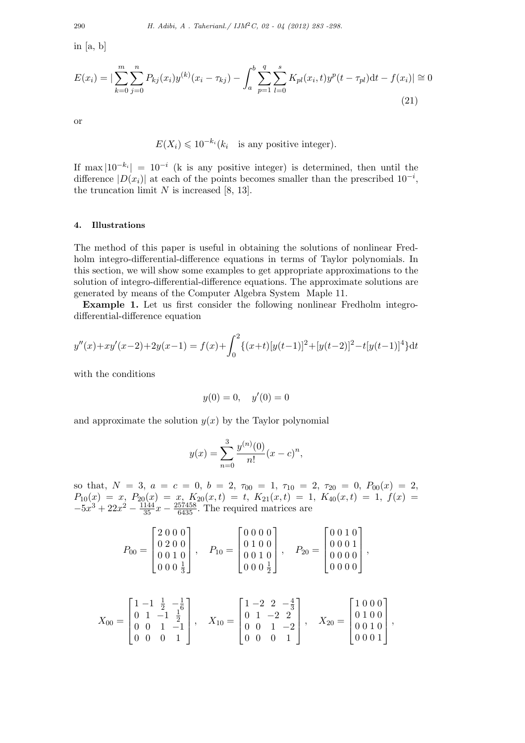in [a, b]

$$
E(x_i) = \left| \sum_{k=0}^{m} \sum_{j=0}^{n} P_{kj}(x_i) y^{(k)}(x_i - \tau_{kj}) - \int_a^b \sum_{p=1}^{q} \sum_{l=0}^{s} K_{pl}(x_i, t) y^p(t - \tau_{pl}) dt - f(x_i) \right| \approx 0
$$
\n(21)

or

$$
E(X_i) \leq 10^{-k_i} (k_i)
$$
 is any positive integer).

If max  $|10^{-k_i}| = 10^{-i}$  (k is any positive integer) is determined, then until the difference  $|D(x_i)|$  at each of the points becomes smaller than the prescribed  $10^{-i}$ , the truncation limit *N* is increased [8, 13].

#### **4. Illustrations**

The method of this paper is useful in obtaining the solutions of nonlinear Fredholm integro-differential-difference equations in terms of Taylor polynomials. In this section, we will show some examples to get appropriate approximations to the solution of integro-differential-difference equations. The approximate solutions are generated by means of the Computer Algebra System Maple 11.

**Example 1.** Let us first consider the following nonlinear Fredholm integrodifferential-difference equation

$$
y''(x) + xy'(x-2) + 2y(x-1) = f(x) + \int_0^2 \{(x+t)[y(t-1)]^2 + [y(t-2)]^2 - t[y(t-1)]^4\}dt
$$

with the conditions

$$
y(0) = 0, \quad y'(0) = 0
$$

and approximate the solution  $y(x)$  by the Taylor polynomial

$$
y(x) = \sum_{n=0}^{3} \frac{y^{(n)}(0)}{n!} (x - c)^n,
$$

so that,  $N = 3$ ,  $a = c = 0$ ,  $b = 2$ ,  $\tau_{00} = 1$ ,  $\tau_{10} = 2$ ,  $\tau_{20} = 0$ ,  $P_{00}(x) = 2$ ,  $P_{10}(x) = x$ ,  $P_{20}(x) = x$ ,  $K_{20}(x,t) = t$ ,  $K_{21}(x,t) = 1$ ,  $K_{40}(x,t) = 1$ ,  $f(x) =$  $-5x^3 + 22x^2 - \frac{1144}{35}x - \frac{257458}{6435}$ . The required matrices are

$$
P_{00} = \begin{bmatrix} 2 & 0 & 0 & 0 \\ 0 & 2 & 0 & 0 \\ 0 & 0 & 1 & 0 \\ 0 & 0 & 0 & \frac{1}{3} \end{bmatrix}, \quad P_{10} = \begin{bmatrix} 0 & 0 & 0 & 0 \\ 0 & 1 & 0 & 0 \\ 0 & 0 & 1 & 0 \\ 0 & 0 & 0 & \frac{1}{2} \end{bmatrix}, \quad P_{20} = \begin{bmatrix} 0 & 0 & 1 & 0 \\ 0 & 0 & 0 & 1 \\ 0 & 0 & 0 & 0 \\ 0 & 0 & 0 & 0 \end{bmatrix},
$$

$$
X_{00} = \begin{bmatrix} 1 & -1 & \frac{1}{2} & -\frac{1}{6} \\ 0 & 1 & -1 & \frac{1}{2} \\ 0 & 0 & 1 & -1 \\ 0 & 0 & 0 & 1 \end{bmatrix}, \quad X_{10} = \begin{bmatrix} 1 & -2 & 2 & -\frac{4}{3} \\ 0 & 1 & -2 & 2 \\ 0 & 0 & 1 & -2 \\ 0 & 0 & 0 & 1 \end{bmatrix}, \quad X_{20} = \begin{bmatrix} 1 & 0 & 0 & 0 \\ 0 & 1 & 0 & 0 \\ 0 & 0 & 1 & 0 \\ 0 & 0 & 0 & 1 \end{bmatrix},
$$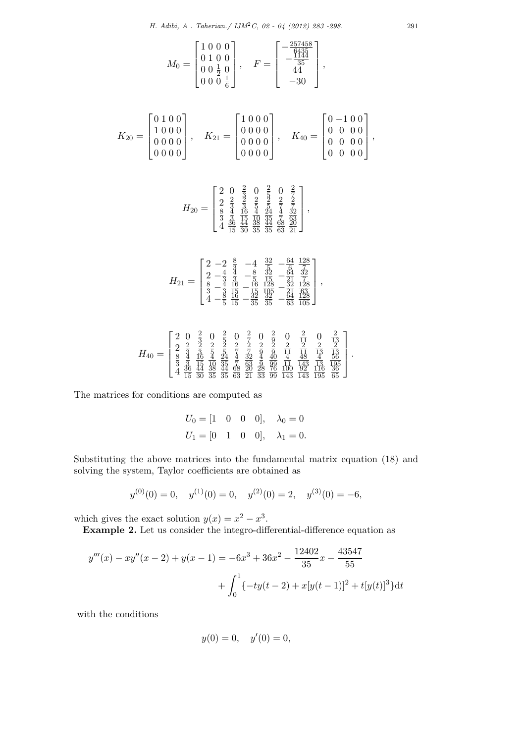$$
M_0 = \begin{bmatrix} 1 & 0 & 0 & 0 \\ 0 & 1 & 0 & 0 \\ 0 & 0 & \frac{1}{2} & 0 \\ 0 & 0 & 0 & \frac{1}{6} \end{bmatrix}, \quad F = \begin{bmatrix} -\frac{257458}{6435} \\ -\frac{1144}{35} \\ 44 \\ -30 \end{bmatrix},
$$

$$
K_{20} = \begin{bmatrix} 0 & 1 & 0 & 0 \\ 1 & 0 & 0 & 0 \\ 0 & 0 & 0 & 0 \\ 0 & 0 & 0 & 0 \end{bmatrix}, \quad K_{21} = \begin{bmatrix} 1 & 0 & 0 & 0 \\ 0 & 0 & 0 & 0 \\ 0 & 0 & 0 & 0 \\ 0 & 0 & 0 & 0 \end{bmatrix}, \quad K_{40} = \begin{bmatrix} 0 & -1 & 0 & 0 \\ 0 & 0 & 0 & 0 \\ 0 & 0 & 0 & 0 \\ 0 & 0 & 0 & 0 \end{bmatrix},
$$

$$
H_{20} = \left[\begin{matrix} 2 & 0 & \frac{2}{3} & 0 & \frac{2}{5} & 0 & \frac{2}{5} \\ 2 & \frac{2}{3} & \frac{2}{3} & \frac{2}{5} & \frac{2}{5} & \frac{2}{5} \\ \frac{8}{3} & \frac{4}{3} & \frac{16}{15} & \frac{4}{3} & \frac{24}{35} & \frac{4}{5} & \frac{32}{35} \\ 4 & \frac{36}{15} & \frac{14}{30} & \frac{38}{35} & \frac{44}{35} & \frac{68}{63} & \frac{20}{21} \end{matrix}\right],
$$

$$
H_{21}=\left[\begin{matrix} 2 & -2 & \frac{8}{3} & -4 & \frac{32}{5} & -\frac{64}{5} & \frac{128}{7} \\ 2 & -\frac{4}{3} & \frac{3}{3} & -\frac{8}{5} & \frac{32}{15} & -\frac{64}{5} & \frac{32}{7} \\ \frac{8}{3} & -\frac{4}{3} & \frac{16}{15} & -\frac{16}{15} & \frac{128}{15} & -\frac{32}{21} & \frac{128}{63} \\ \frac{4}{3} & -\frac{8}{5} & \frac{16}{15} & -\frac{32}{35} & \frac{32}{35} & -\frac{64}{63} & \frac{128}{105} \end{matrix}\right],
$$

$$
H_{40} = \begin{bmatrix} 2 & 0 & \frac{2}{3} & 0 & \frac{2}{5} & 0 & \frac{2}{5} & 0 & \frac{2}{5} & 0 & \frac{2}{13} & 0 & \frac{2}{13} \\ 2 & \frac{2}{3} & \frac{2}{3} & \frac{2}{5} & \frac{2}{5} & \frac{2}{7} & \frac{2}{9} & \frac{2}{9} & \frac{2}{11} & \frac{2}{11} & \frac{2}{13} & \frac{2}{13} \\ \frac{8}{3} & \frac{4}{3} & \frac{16}{15} & \frac{4}{32} & \frac{24}{5} & \frac{4}{7} & \frac{32}{32} & \frac{4}{34} & \frac{40}{40} & \frac{4}{4} & \frac{48}{48} & \frac{4}{4} & \frac{56}{105} \\ 4 & \frac{36}{15} & \frac{44}{30} & \frac{38}{35} & \frac{44}{35} & \frac{68}{63} & \frac{20}{21} & \frac{28}{32} & \frac{66}{39} & \frac{100}{143} & \frac{92}{143} & \frac{116}{195} & \frac{36}{65} \end{bmatrix}.
$$

The matrices for conditions are computed as

$$
U_0 = \begin{bmatrix} 1 & 0 & 0 & 0 \end{bmatrix}, \quad \lambda_0 = 0
$$
  

$$
U_1 = \begin{bmatrix} 0 & 1 & 0 & 0 \end{bmatrix}, \quad \lambda_1 = 0.
$$

Substituting the above matrices into the fundamental matrix equation (18) and solving the system, Taylor coefficients are obtained as

$$
y^{(0)}(0) = 0
$$
,  $y^{(1)}(0) = 0$ ,  $y^{(2)}(0) = 2$ ,  $y^{(3)}(0) = -6$ ,

which gives the exact solution  $y(x) = x^2 - x^3$ .

**Example 2.** Let us consider the integro-differential-difference equation as

$$
y'''(x) - xy''(x-2) + y(x-1) = -6x^3 + 36x^2 - \frac{12402}{35}x - \frac{43547}{55}
$$

$$
+ \int_0^1 \{-ty(t-2) + x[y(t-1)]^2 + t[y(t)]^3\}dt
$$

with the conditions

$$
y(0) = 0, \quad y'(0) = 0,
$$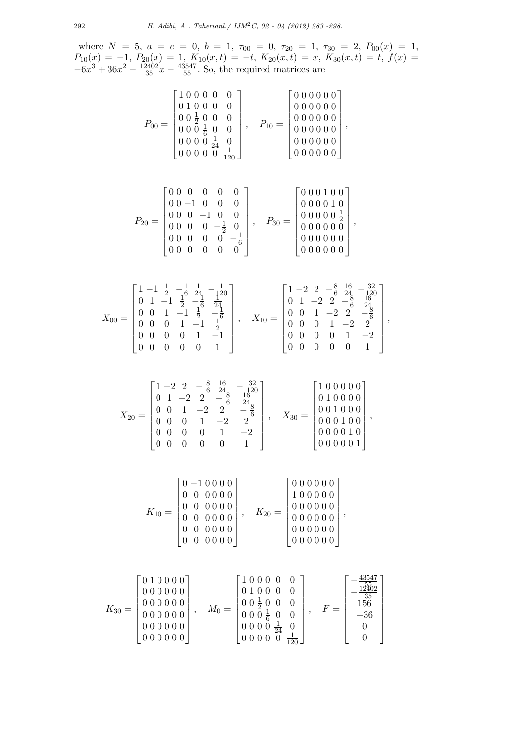where  $N = 5$ ,  $a = c = 0$ ,  $b = 1$ ,  $\tau_{00} = 0$ ,  $\tau_{20} = 1$ ,  $\tau_{30} = 2$ ,  $P_{00}(x) = 1$ ,  $P_{10}(x) = -1, P_{20}(x) = 1, K_{10}(x,t) = -t, K_{20}(x,t) = x, K_{30}(x,t) = t, f(x) =$  $-6x^3 + 36x^2 - \frac{12402}{35}x - \frac{43547}{55}$ . So, the required matrices are

*P*<sup>00</sup> = 1 0 0 0 0 0 0 1 0 0 0 0 0 0 <sup>1</sup> 2 0 0 0 0 0 0 <sup>1</sup> 6 0 0 0 0 0 0 <sup>1</sup> <sup>24</sup> 0 0 0 0 0 0 <sup>1</sup> 120 *, P*<sup>10</sup> = 0 0 0 0 0 0 0 0 0 0 0 0 0 0 0 0 0 0 0 0 0 0 0 0 0 0 0 0 0 0 0 0 0 0 0 0 *,*

$$
P_{20} = \begin{bmatrix} 0 & 0 & 0 & 0 & 0 & 0 \\ 0 & 0 & -1 & 0 & 0 & 0 \\ 0 & 0 & 0 & -1 & 0 & 0 \\ 0 & 0 & 0 & 0 & -\frac{1}{2} & 0 \\ 0 & 0 & 0 & 0 & 0 & -\frac{1}{6} \\ 0 & 0 & 0 & 0 & 0 & 0 \end{bmatrix}, \quad P_{30} = \begin{bmatrix} 0 & 0 & 0 & 1 & 0 & 0 \\ 0 & 0 & 0 & 0 & 1 & 0 \\ 0 & 0 & 0 & 0 & 0 & \frac{1}{2} \\ 0 & 0 & 0 & 0 & 0 & 0 \\ 0 & 0 & 0 & 0 & 0 & 0 \\ 0 & 0 & 0 & 0 & 0 & 0 \end{bmatrix},
$$

$$
X_{00}=\begin{bmatrix} 1 & -1 & \frac{1}{2} & -\frac{1}{6} & \frac{1}{24} & -\frac{1}{120} \\ 0 & 1 & -1 & \frac{1}{2} & -\frac{1}{6} & \frac{1}{24} \\ 0 & 0 & 1 & -1 & \frac{1}{2} & -\frac{1}{6} \\ 0 & 0 & 0 & 1 & -1 & \frac{1}{2} \\ 0 & 0 & 0 & 0 & 1 & -1 \\ 0 & 0 & 0 & 0 & 0 & 1 \end{bmatrix},\quad X_{10}=\begin{bmatrix} 1 & -2 & 2 & -\frac{8}{6} & \frac{16}{24} & -\frac{32}{120} \\ 0 & 1 & -2 & 2 & -\frac{8}{6} & \frac{16}{24} \\ 0 & 0 & 1 & -2 & 2 & -\frac{8}{6} \\ 0 & 0 & 0 & 1 & -2 & 2 \\ 0 & 0 & 0 & 0 & 1 & -2 \\ 0 & 0 & 0 & 0 & 0 & 1 \end{bmatrix},
$$

$$
X_{20} = \begin{bmatrix} 1 & -2 & 2 & -\frac{8}{6} & \frac{16}{24} & -\frac{32}{120} \\ 0 & 1 & -2 & 2 & -\frac{8}{6} & \frac{16}{24} \\ 0 & 0 & 1 & -2 & 2 & -\frac{8}{6} \\ 0 & 0 & 0 & 1 & -2 & 2 \\ 0 & 0 & 0 & 0 & 1 & -2 \\ 0 & 0 & 0 & 0 & 0 & 1 \end{bmatrix}, \quad X_{30} = \begin{bmatrix} 1 & 0 & 0 & 0 & 0 \\ 0 & 1 & 0 & 0 & 0 & 0 \\ 0 & 0 & 1 & 0 & 0 & 0 \\ 0 & 0 & 0 & 1 & 0 & 0 \\ 0 & 0 & 0 & 0 & 1 & 0 \\ 0 & 0 & 0 & 0 & 0 & 1 \end{bmatrix},
$$

$$
K_{10} = \begin{bmatrix} 0 & -1 & 0 & 0 & 0 & 0 \\ 0 & 0 & 0 & 0 & 0 & 0 \\ 0 & 0 & 0 & 0 & 0 & 0 \\ 0 & 0 & 0 & 0 & 0 & 0 \\ 0 & 0 & 0 & 0 & 0 & 0 \\ 0 & 0 & 0 & 0 & 0 & 0 \\ 0 & 0 & 0 & 0 & 0 & 0 \end{bmatrix}, \quad K_{20} = \begin{bmatrix} 0 & 0 & 0 & 0 & 0 & 0 \\ 1 & 0 & 0 & 0 & 0 & 0 \\ 0 & 0 & 0 & 0 & 0 & 0 \\ 0 & 0 & 0 & 0 & 0 & 0 \\ 0 & 0 & 0 & 0 & 0 & 0 \\ 0 & 0 & 0 & 0 & 0 & 0 \end{bmatrix},
$$

$$
K_{30} = \begin{bmatrix} 0 & 1 & 0 & 0 & 0 & 0 \\ 0 & 0 & 0 & 0 & 0 & 0 \\ 0 & 0 & 0 & 0 & 0 & 0 \\ 0 & 0 & 0 & 0 & 0 & 0 \\ 0 & 0 & 0 & 0 & 0 & 0 \\ 0 & 0 & 0 & 0 & 0 & 0 \end{bmatrix}, \quad M_{0} = \begin{bmatrix} 1 & 0 & 0 & 0 & 0 & 0 \\ 0 & 1 & 0 & 0 & 0 & 0 & 0 \\ 0 & 0 & \frac{1}{2} & 0 & 0 & 0 & 0 \\ 0 & 0 & 0 & \frac{1}{6} & 0 & 0 & 0 \\ 0 & 0 & 0 & 0 & \frac{1}{120} & 0 \\ 0 & 0 & 0 & 0 & 0 & \frac{1}{120} \end{bmatrix}, \quad F = \begin{bmatrix} -\frac{43547}{55} \\ -\frac{12402}{35} \\ -36 \\ -36 \\ 0 \\ 0 \end{bmatrix}
$$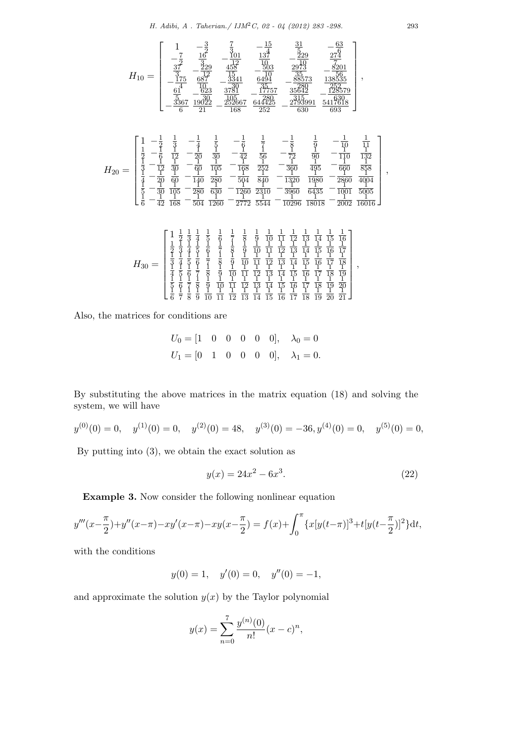*H. Adibi, A . Taherian./ IJM*2*C, 02 - 04 (2012) 283 -298.* 293

$$
H_{10} = \begin{bmatrix} 1 & -\frac{3}{2} & \frac{7}{3} & -\frac{15}{12} & \frac{31}{137} & -\frac{63}{229} & \frac{74}{274} \\ \frac{37}{175} & -\frac{329}{172} & \frac{458}{195} & -\frac{103}{103} & \frac{913}{2913} & -\frac{5201}{291} \\ -\frac{375}{175} & \frac{687}{197} & -\frac{3341}{393} & \frac{6494}{195} & -\frac{85573}{35642} & \frac{158535}{15853} \\ \frac{61}{5} & -\frac{63}{30} & \frac{3781}{105} & -\frac{17757}{280} & \frac{35642}{21559} & -\frac{128579}{128579} \\ -\frac{3367}{5} & \frac{19022}{21} & -\frac{212667}{168} & \frac{64425}{252} & -\frac{293991}{693} & \frac{5417618}{693} \end{bmatrix}
$$
\n
$$
H_{20} = \begin{bmatrix} 1 & -\frac{1}{2} & \frac{1}{3} & -\frac{1}{4} & \frac{1}{5} & -\frac{1}{6} & \frac{1}{7} & -\frac{1}{8} & \frac{1}{9} & -\frac{1}{10} & \frac{1}{11} \\ \frac{1}{2} & -\frac{1}{6} & \frac{1}{12} & -\frac{1}{20} & \frac{1}{30} & -\frac{1}{42} & \frac{1}{56} & -\frac{1}{72} & \frac{1}{90} & -\frac{1}{110} & \frac{1}{11} \\ \frac{1}{2} & -\frac{1}{6} & \frac{1}{12} & -\frac{1}{20} & \frac{1}{30} & -\frac{1}{42} & \frac{1}{56} & -\frac{1}{72} & \frac{1}{90} & -\frac{1}{110} & \frac{1}{132} \\ \frac{1}{3} & -\frac{1}{42} & \frac{1}{30} &
$$

Also, the matrices for conditions are

$$
U_0 = \begin{bmatrix} 1 & 0 & 0 & 0 & 0 & 0 \end{bmatrix}, \quad \lambda_0 = 0
$$
  

$$
U_1 = \begin{bmatrix} 0 & 1 & 0 & 0 & 0 & 0 \end{bmatrix}, \quad \lambda_1 = 0.
$$

By substituting the above matrices in the matrix equation (18) and solving the system, we will have

$$
y^{(0)}(0) = 0
$$
,  $y^{(1)}(0) = 0$ ,  $y^{(2)}(0) = 48$ ,  $y^{(3)}(0) = -36$ ,  $y^{(4)}(0) = 0$ ,  $y^{(5)}(0) = 0$ ,

By putting into (3), we obtain the exact solution as

$$
y(x) = 24x^2 - 6x^3.
$$
 (22)

**Example 3.** Now consider the following nonlinear equation

$$
y'''(x-\frac{\pi}{2})+y''(x-\pi)-xy'(x-\pi)-xy(x-\frac{\pi}{2})=f(x)+\int_0^{\pi}\left\{x[y(t-\pi)]^3+t[y(t-\frac{\pi}{2})]^2\right\}\mathrm{d}t,
$$

with the conditions

$$
y(0) = 1
$$
,  $y'(0) = 0$ ,  $y''(0) = -1$ ,

and approximate the solution  $y(x)$  by the Taylor polynomial

$$
y(x) = \sum_{n=0}^{7} \frac{y^{(n)}(0)}{n!} (x - c)^n,
$$

*,*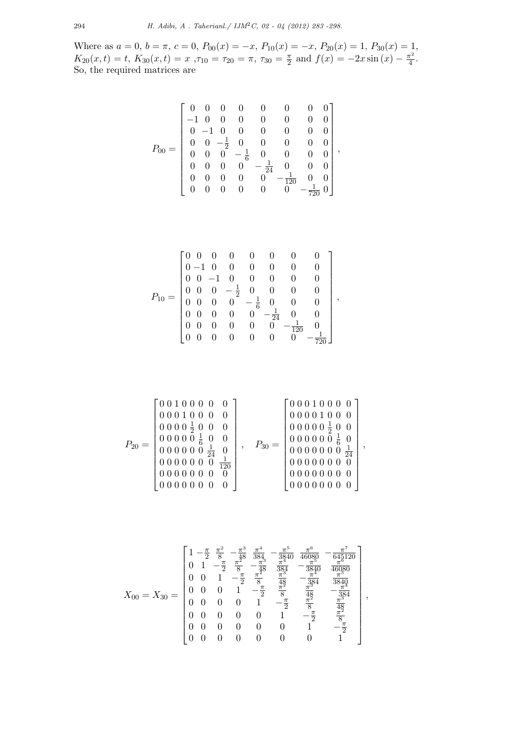Where as  $a = 0$ ,  $b = \pi$ ,  $c = 0$ ,  $P_{00}(x) = -x$ ,  $P_{10}(x) = -x$ ,  $P_{20}(x) = 1$ ,  $P_{30}(x) = 1$ ,  $K_{20}(x,t) = t$ ,  $K_{30}(x,t) = x$ ,  $\tau_{10} = \tau_{20} = \pi$ ,  $\tau_{30} = \frac{\pi}{2}$  $\frac{\pi}{2}$  and  $f(x) = -2x \sin(x) - \frac{\pi^2}{4}$  $\frac{r^2}{4}$ . So, the required matrices are

$$
P_{00} = \left[\begin{array}{cccccccc} 0 & 0 & 0 & 0 & 0 & 0 & 0 & 0 \\ -1 & 0 & 0 & 0 & 0 & 0 & 0 & 0 \\ 0 & -1 & 0 & 0 & 0 & 0 & 0 & 0 \\ 0 & 0 & -\frac{1}{2} & 0 & 0 & 0 & 0 & 0 \\ 0 & 0 & 0 & -\frac{1}{6} & 0 & 0 & 0 & 0 \\ 0 & 0 & 0 & 0 & -\frac{1}{24} & 0 & 0 & 0 \\ 0 & 0 & 0 & 0 & 0 & -\frac{1}{120} & 0 & 0 \\ 0 & 0 & 0 & 0 & 0 & 0 & -\frac{1}{720} & 0 \end{array}\right],
$$

$$
P_{10}=\left[\begin{matrix}0 & 0 & 0 & 0 & 0 & 0 & 0 & 0 \\ 0 & -1 & 0 & 0 & 0 & 0 & 0 & 0 \\ 0 & 0 & -1 & 0 & 0 & 0 & 0 & 0 \\ 0 & 0 & 0 & -\frac{1}{2} & 0 & 0 & 0 & 0 \\ 0 & 0 & 0 & 0 & -\frac{1}{6} & 0 & 0 & 0 \\ 0 & 0 & 0 & 0 & 0 & -\frac{1}{24} & 0 & 0 \\ 0 & 0 & 0 & 0 & 0 & 0 & -\frac{1}{120} & 0 \\ 0 & 0 & 0 & 0 & 0 & 0 & 0 & -\frac{1}{720} \end{matrix}\right],
$$

*P*<sup>20</sup> = 0 0 1 0 0 0 0 0 0 0 0 1 0 0 0 0 0 0 0 0 <sup>1</sup> 2 0 0 0 0 0 0 0 0 <sup>1</sup> 6 0 0 0 0 0 0 0 0 <sup>1</sup> <sup>24</sup> 0 0 0 0 0 0 0 0 <sup>1</sup> 120 0 0 0 0 0 0 0 0 0 0 0 0 0 0 0 0 *, P*<sup>30</sup> = 0 0 0 1 0 0 0 0 0 0 0 0 1 0 0 0 0 0 0 0 0 <sup>1</sup> 2 0 0 0 0 0 0 0 0 <sup>1</sup> 6 0 0 0 0 0 0 0 0 <sup>1</sup> 24 0 0 0 0 0 0 0 0 0 0 0 0 0 0 0 0 0 0 0 0 0 0 0 0 *,* 

$$
X_{00}=X_{30}=\begin{bmatrix} 1-\frac{\pi}{2} & \frac{\pi^2}{8} & -\frac{\pi^3}{48} & \frac{\pi^4}{3840} & -\frac{\pi^5}{3840} & \frac{\pi^6}{46080} & -\frac{\pi^7}{645120} \\ 0 & 1 & -\frac{\pi}{2} & \frac{\pi^2}{8} & -\frac{\pi^3}{48} & \frac{\pi^3}{384} & -\frac{\pi^3}{3840} & \frac{\pi^5}{46080} \\ 0 & 0 & 1 & -\frac{\pi}{2} & \frac{\pi^2}{8} & \frac{\pi^3}{48} & -\frac{\pi^4}{384} & \frac{\pi^5}{3840} \\ 0 & 0 & 0 & 1 & -\frac{\pi}{2} & \frac{\pi^2}{8} & \frac{\pi^3}{48} & -\frac{\pi^4}{384} \\ 0 & 0 & 0 & 0 & 1 & -\frac{\pi}{2} & \frac{\pi^2}{8} & \frac{\pi^3}{48} \\ 0 & 0 & 0 & 0 & 0 & 1 & -\frac{\pi}{2} & \frac{\pi^2}{8} \\ 0 & 0 & 0 & 0 & 0 & 0 & 1 & -\frac{\pi}{2} \\ 0 & 0 & 0 & 0 & 0 & 0 & 0 & 1 \end{bmatrix},
$$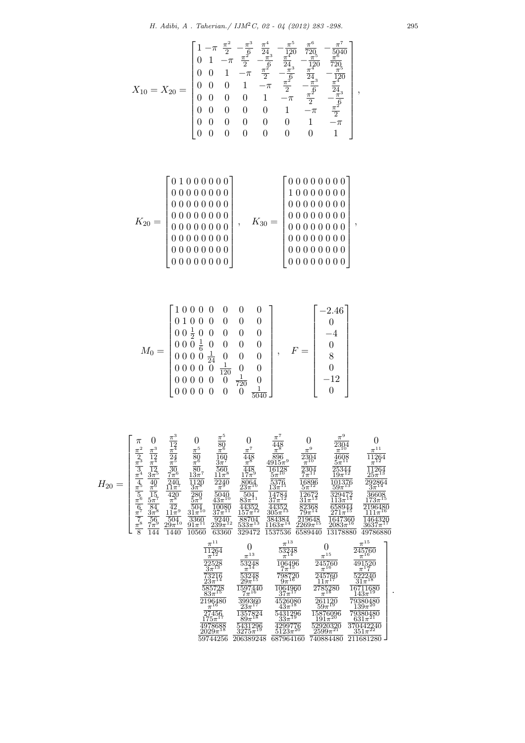$$
K_{10}=X_{20}=\begin{bmatrix} 1-\pi\,\frac{\pi^2}{2}-\frac{\pi^3}{24}-\frac{\pi^5}{24}-\frac{\pi^5}{24}-\frac{\pi^5}{24}-\frac{\pi^5}{24}-\frac{\pi^5}{24}-\frac{\pi^5}{24}-\frac{\pi^5}{24}-\frac{\pi^5}{24}-\frac{\pi^5}{24}-\frac{\pi^5}{24}-\frac{\pi^5}{24}-\frac{\pi^5}{24}-\frac{\pi^5}{24}-\frac{\pi^5}{24}-\frac{\pi^5}{24}-\frac{\pi^5}{24}-\frac{\pi^5}{24}-\frac{\pi^5}{24}-\frac{\pi^5}{24}-\frac{\pi^5}{24}-\frac{\pi^5}{24}-\frac{\pi^5}{24}-\frac{\pi^5}{24}-\frac{\pi^5}{24}-\frac{\pi^5}{24}-\frac{\pi^5}{24}-\frac{\pi^5}{24}-\frac{\pi^5}{24}-\frac{\pi^5}{24}-\frac{\pi^5}{24}-\frac{\pi^5}{24}-\frac{\pi^5}{24}-\frac{\pi^5}{24}-\frac{\pi^5}{24}-\frac{\pi^5}{24}-\frac{\pi^5}{24}-\frac{\pi^5}{24}-\frac{\pi^5}{24}-\frac{\pi^5}{24}-\frac{\pi^5}{24}-\frac{\pi^5}{24}-\frac{\pi^5}{24}-\frac{\pi^5}{24}-\frac{\pi^5}{24}-\frac{\pi^5}{24}-\frac{\pi^5}{24}-\frac{\pi^5}{24}-\frac{\pi^5}{24}-\frac{\pi^5}{24}-\frac{\pi^5}{24}-\frac{\pi^5}{24}-\frac{\pi^5}{24}-\frac{\pi^5}{24}-\frac{\pi^5}{24}-\frac{\pi^5}{24}-\frac{\pi^5}{24}-\frac{\pi^5}{24}-\frac{\pi^5}{24}-\frac{\pi^5}{24}-\frac{\pi^5}{24}-\frac{\pi^5}{24}-\frac{\pi^5}{24}-\frac{\pi^5}{24}-\frac{\pi^5}{24}-\frac{\pi^5}{24}-\frac{\pi^5}{24}-\frac{\pi^5}{24}-\frac{\pi^5}{24}-\frac{\pi^5}{24}-\frac{\pi^5}{24}-\frac{\pi^5}{24}-\frac{\pi^5}{24
$$

1  $\mathbf{I}$  $\mathbf{I}$  $\mathbf{I}$  $\mathbf{I}$  $\mathbf{I}$  $\mathbf{I}$  $\mathbf{I}$  $\mathbf{I}$  $\mathbf{I}$  $\mathbf{I}$  $\mathbf{I}$  $\mathbf{I}$ 

*.*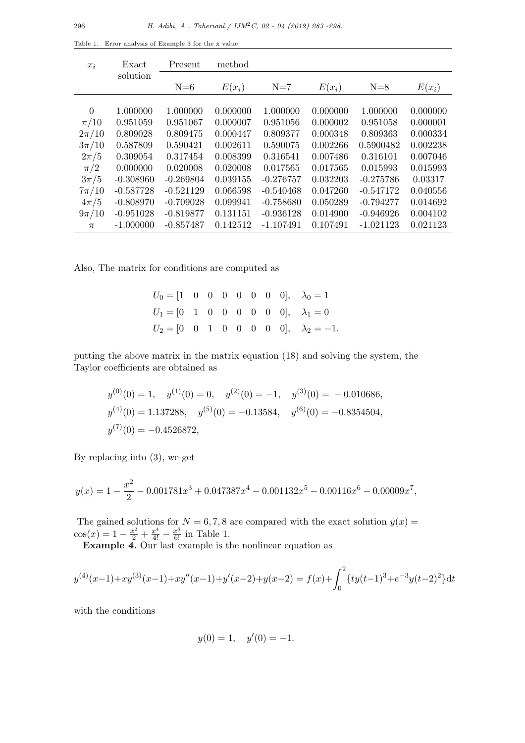| $x_i$     | Exact       | Present     | method   |             |          |             |          |
|-----------|-------------|-------------|----------|-------------|----------|-------------|----------|
|           | solution    | $N=6$       | $E(x_i)$ | $N=7$       | $E(x_i)$ | $N=8$       | $E(x_i)$ |
|           |             |             |          |             |          |             |          |
| $\Omega$  | 1.000000    | 1.000000    | 0.000000 | 1.000000    | 0.000000 | 1.000000    | 0.000000 |
| $\pi/10$  | 0.951059    | 0.951067    | 0.000007 | 0.951056    | 0.000002 | 0.951058    | 0.000001 |
| $2\pi/10$ | 0.809028    | 0.809475    | 0.000447 | 0.809377    | 0.000348 | 0.809363    | 0.000334 |
| $3\pi/10$ | 0.587809    | 0.590421    | 0.002611 | 0.590075    | 0.002266 | 0.5900482   | 0.002238 |
| $2\pi/5$  | 0.309054    | 0.317454    | 0.008399 | 0.316541    | 0.007486 | 0.316101    | 0.007046 |
| $\pi/2$   | 0.000000    | 0.020008    | 0.020008 | 0.017565    | 0.017565 | 0.015993    | 0.015993 |
| $3\pi/5$  | $-0.308960$ | $-0.269804$ | 0.039155 | $-0.276757$ | 0.032203 | $-0.275786$ | 0.03317  |
| $7\pi/10$ | $-0.587728$ | $-0.521129$ | 0.066598 | $-0.540468$ | 0.047260 | $-0.547172$ | 0.040556 |
| $4\pi/5$  | $-0.808970$ | $-0.709028$ | 0.099941 | $-0.758680$ | 0.050289 | $-0.794277$ | 0.014692 |
| $9\pi/10$ | $-0.951028$ | $-0.819877$ | 0.131151 | $-0.936128$ | 0.014900 | $-0.946926$ | 0.004102 |
| $\pi$     | $-1.000000$ | $-0.857487$ | 0.142512 | $-1.107491$ | 0.107491 | $-1.021123$ | 0.021123 |

Table 1. Error analysis of Example 3 for the x value

Also, The matrix for conditions are computed as

$$
U_0 = \begin{bmatrix} 1 & 0 & 0 & 0 & 0 & 0 & 0 \\ 0 & 1 & 0 & 0 & 0 & 0 & 0 \\ 0 & 0 & 1 & 0 & 0 & 0 & 0 \\ 0 & 0 & 0 & 0 & 0 & 0 & 0 \end{bmatrix}, \quad \lambda_0 = 1
$$
  

$$
U_2 = \begin{bmatrix} 0 & 0 & 1 & 0 & 0 & 0 & 0 \\ 0 & 0 & 0 & 0 & 0 & 0 \\ 0 & 0 & 0 & 0 & 0 & 0 \end{bmatrix}, \quad \lambda_2 = -1.
$$

putting the above matrix in the matrix equation (18) and solving the system, the Taylor coefficients are obtained as

$$
y^{(0)}(0) = 1
$$
,  $y^{(1)}(0) = 0$ ,  $y^{(2)}(0) = -1$ ,  $y^{(3)}(0) = -0.010686$ ,  
\n $y^{(4)}(0) = 1.137288$ ,  $y^{(5)}(0) = -0.13584$ ,  $y^{(6)}(0) = -0.8354504$ ,  
\n $y^{(7)}(0) = -0.4526872$ ,

By replacing into (3), we get

$$
y(x) = 1 - \frac{x^2}{2} - 0.001781x^3 + 0.047387x^4 - 0.001132x^5 - 0.00116x^6 - 0.00009x^7,
$$

The gained solutions for  $N = 6, 7, 8$  are compared with the exact solution  $y(x) =$  $cos(x) = 1 - \frac{x^2}{2} + \frac{x^4}{4!} - \frac{x^6}{6!}$  in Table 1.

**Example 4.** Our last example is the nonlinear equation as

$$
y^{(4)}(x-1) + xy^{(3)}(x-1) + xy''(x-1) + y'(x-2) + y(x-2) = f(x) + \int_0^2 \{ty(t-1)^3 + e^{-3}y(t-2)^2\}dt
$$

with the conditions

$$
y(0) = 1, \quad y'(0) = -1.
$$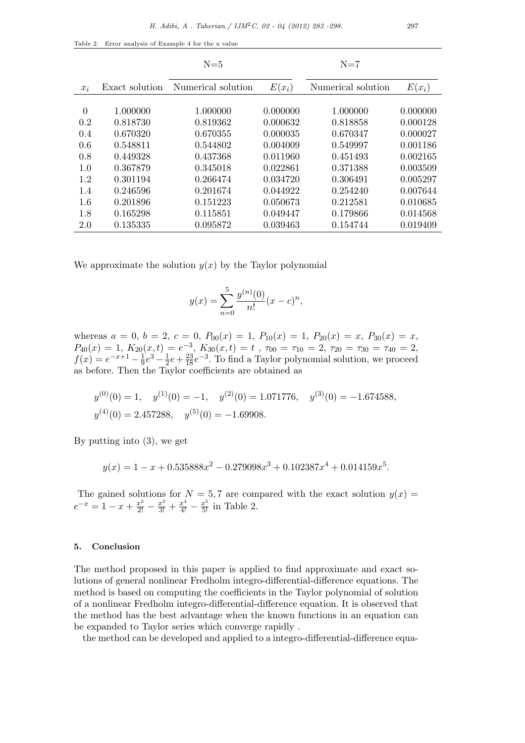|  |  |  |  |  |  | Table 2. Error analysis of Example 4 for the x value |  |
|--|--|--|--|--|--|------------------------------------------------------|--|
|--|--|--|--|--|--|------------------------------------------------------|--|

|          |                | $N=5$              |          |                    |          |
|----------|----------------|--------------------|----------|--------------------|----------|
| $x_i$    | Exact solution | Numerical solution | $E(x_i)$ | Numerical solution | $E(x_i)$ |
|          |                |                    |          |                    |          |
| $\theta$ | 1.000000       | 1.000000           | 0.000000 | 1.000000           | 0.000000 |
| 0.2      | 0.818730       | 0.819362           | 0.000632 | 0.818858           | 0.000128 |
| 0.4      | 0.670320       | 0.670355           | 0.000035 | 0.670347           | 0.000027 |
| 0.6      | 0.548811       | 0.544802           | 0.004009 | 0.549997           | 0.001186 |
| 0.8      | 0.449328       | 0.437368           | 0.011960 | 0.451493           | 0.002165 |
| 1.0      | 0.367879       | 0.345018           | 0.022861 | 0.371388           | 0.003509 |
| 1.2      | 0.301194       | 0.266474           | 0.034720 | 0.306491           | 0.005297 |
| 1.4      | 0.246596       | 0.201674           | 0.044922 | 0.254240           | 0.007644 |
| 1.6      | 0.201896       | 0.151223           | 0.050673 | 0.212581           | 0.010685 |
| 1.8      | 0.165298       | 0.115851           | 0.049447 | 0.179866           | 0.014568 |
| 2.0      | 0.135335       | 0.095872           | 0.039463 | 0.154744           | 0.019409 |

We approximate the solution  $y(x)$  by the Taylor polynomial

$$
y(x) = \sum_{n=0}^{5} \frac{y^{(n)}(0)}{n!} (x - c)^n,
$$

whereas  $a = 0, b = 2, c = 0, P_{00}(x) = 1, P_{10}(x) = 1, P_{20}(x) = x, P_{30}(x) = x$ ,  $P_{40}(x) = 1, K_{20}(x,t) = e^{-3}, K_{30}(x,t) = t, \tau_{00} = \tau_{10} = 2, \tau_{20} = \tau_{30} = \tau_{40} = 2,$  $f(x) = e^{-x+1} - \frac{1}{9}$  $\frac{1}{9}e^3 - \frac{1}{2}$  $\frac{1}{2}e + \frac{23}{18}e^{-3}$ . To find a Taylor polynomial solution, we proceed as before. Then the Taylor coefficients are obtained as

$$
y^{(0)}(0) = 1
$$
,  $y^{(1)}(0) = -1$ ,  $y^{(2)}(0) = 1.071776$ ,  $y^{(3)}(0) = -1.674588$ ,  
\n $y^{(4)}(0) = 2.457288$ ,  $y^{(5)}(0) = -1.69908$ .

By putting into (3), we get

$$
y(x) = 1 - x + 0.535888x^{2} - 0.279098x^{3} + 0.102387x^{4} + 0.014159x^{5}.
$$

The gained solutions for  $N = 5, 7$  are compared with the exact solution  $y(x) =$  $e^{-x} = 1 - x + \frac{x^2}{2!} - \frac{x^3}{3!} + \frac{x^4}{4!} - \frac{x^5}{5!}$  in Table 2.

#### **5. Conclusion**

The method proposed in this paper is applied to find approximate and exact solutions of general nonlinear Fredholm integro-differential-difference equations. The method is based on computing the coefficients in the Taylor polynomial of solution of a nonlinear Fredholm integro-differential-difference equation. It is observed that the method has the best advantage when the known functions in an equation can be expanded to Taylor series which converge rapidly .

the method can be developed and applied to a integro-differential-difference equa-